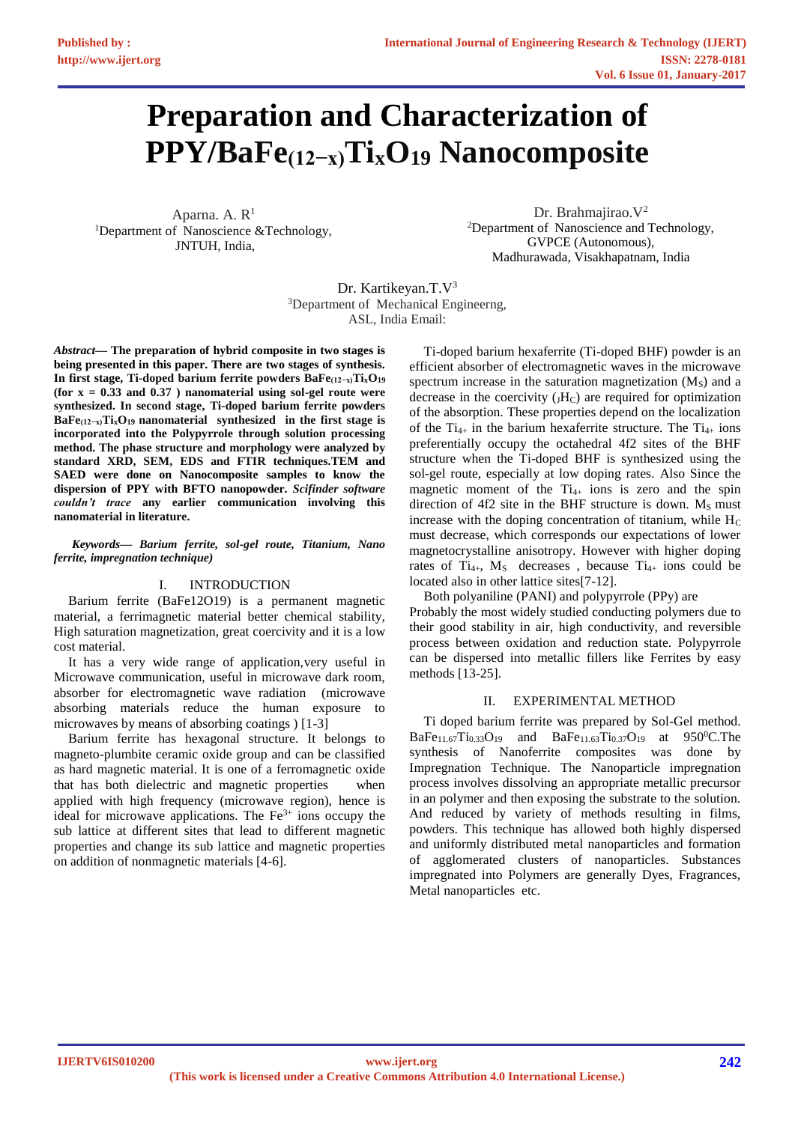# **Preparation and Characterization of PPY/BaFe(12−x)TixO<sup>19</sup> Nanocomposite**

Aparna. A. R<sup>1</sup> <sup>1</sup>Department of Nanoscience &Technology, JNTUH, India,

Dr. Brahmajirao. V<sup>2</sup> <sup>2</sup>Department of Nanoscience and Technology, GVPCE (Autonomous), Madhurawada, Visakhapatnam, India

Dr. Kartikeyan.T.V<sup>3</sup> <sup>3</sup>Department of Mechanical Engineerng, ASL, India Email:

*Abstract***— The preparation of hybrid composite in two stages is being presented in this paper. There are two stages of synthesis. In first stage, Ti-doped barium ferrite powders BaFe(12−x)TixO<sup>19</sup> (for x = 0.33 and 0.37 ) nanomaterial using sol-gel route were synthesized. In second stage, Ti-doped barium ferrite powders BaFe(12−x)TixO<sup>19</sup> nanomaterial synthesized in the first stage is incorporated into the Polypyrrole through solution processing method. The phase structure and morphology were analyzed by standard XRD, SEM, EDS and FTIR techniques.TEM and SAED were done on Nanocomposite samples to know the dispersion of PPY with BFTO nanopowder.** *Scifinder software couldn't trace* **any earlier communication involving this nanomaterial in literature.**

*Keywords— Barium ferrite, sol-gel route, Titanium, Nano ferrite, impregnation technique)*

# I. INTRODUCTION

Barium ferrite (BaFe12O19) is a permanent magnetic material, a ferrimagnetic material better chemical stability, High saturation magnetization, great coercivity and it is a low cost material.

It has a very wide range of application,very useful in Microwave communication, useful in microwave dark room, absorber for electromagnetic wave radiation (microwave absorbing materials reduce the human exposure to microwaves by means of absorbing coatings ) [1-3]

Barium ferrite has hexagonal structure. It belongs to magneto-plumbite ceramic oxide group and can be classified as hard magnetic material. It is one of a ferromagnetic oxide that has both dielectric and magnetic properties when applied with high frequency (microwave region), hence is ideal for microwave applications. The  $Fe<sup>3+</sup>$  ions occupy the sub lattice at different sites that lead to different magnetic properties and change its sub lattice and magnetic properties on addition of nonmagnetic materials [4-6].

Ti-doped barium hexaferrite (Ti-doped BHF) powder is an efficient absorber of electromagnetic waves in the microwave spectrum increase in the saturation magnetization  $(M<sub>s</sub>)$  and a decrease in the coercivity  $(JH_C)$  are required for optimization of the absorption. These properties depend on the localization of the  $Ti_{4+}$  in the barium hexaferrite structure. The  $Ti_{4+}$  ions preferentially occupy the octahedral 4f2 sites of the BHF structure when the Ti-doped BHF is synthesized using the sol-gel route, especially at low doping rates. Also Since the magnetic moment of the  $Ti_{4+}$  ions is zero and the spin direction of  $4f2$  site in the BHF structure is down.  $M_s$  must increase with the doping concentration of titanium, while  $H_C$ must decrease, which corresponds our expectations of lower magnetocrystalline anisotropy. However with higher doping rates of Ti4+, M<sup>S</sup> decreases , because Ti4+ ions could be located also in other lattice sites[7-12].

Both polyaniline (PANI) and polypyrrole (PPy) are Probably the most widely studied conducting polymers due to their good stability in air, high conductivity, and reversible process between oxidation and reduction state. Polypyrrole can be dispersed into metallic fillers like Ferrites by easy methods [13-25].

# II. EXPERIMENTAL METHOD

Ti doped barium ferrite was prepared by Sol-Gel method.  $BaFe_{11.67}Ti_{0.33}O_{19}$  and  $BaFe_{11.63}Ti_{0.37}O_{19}$  at 950<sup>0</sup>C. The synthesis of Nanoferrite composites was done by Impregnation Technique. The Nanoparticle impregnation process involves dissolving an appropriate metallic precursor in an polymer and then exposing the substrate to the solution. And reduced by variety of methods resulting in films, powders. This technique has allowed both highly dispersed and uniformly distributed metal nanoparticles and formation of agglomerated clusters of nanoparticles. Substances impregnated into Polymers are generally Dyes, Fragrances, Metal nanoparticles etc.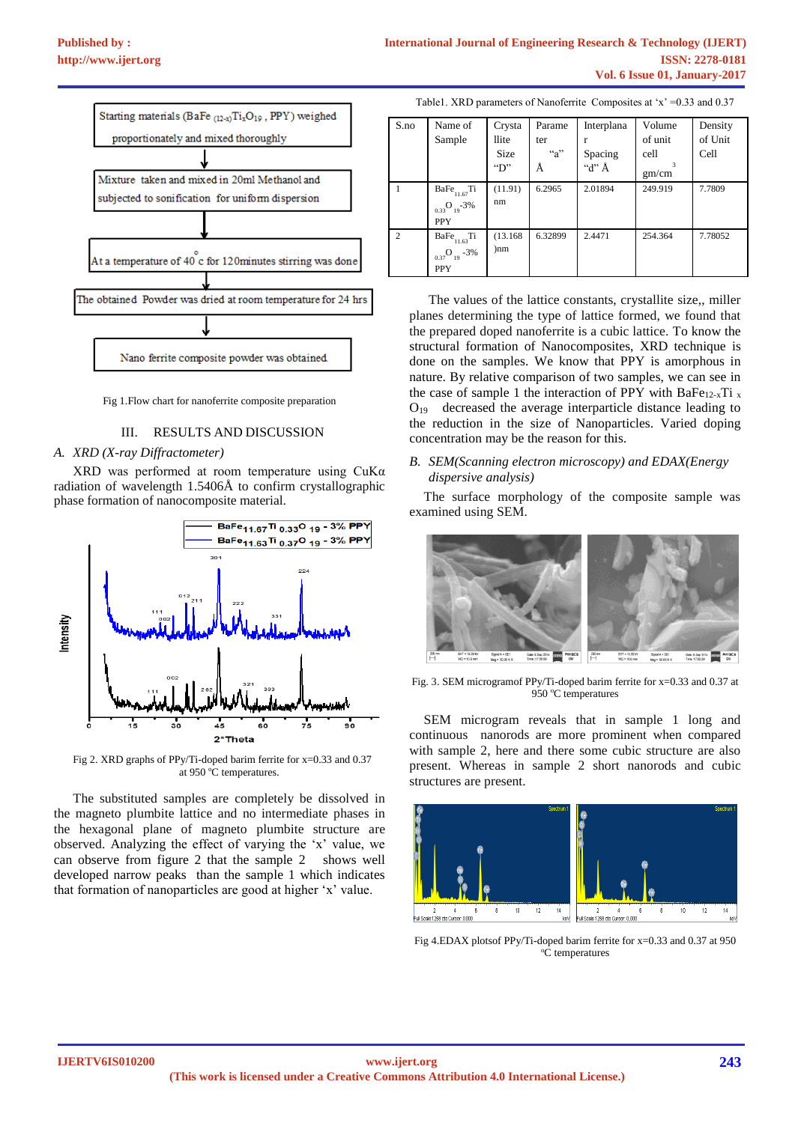

Fig 1.Flow chart for nanoferrite composite preparation

## III. RESULTS AND DISCUSSION

### *A. XRD (X-ray Diffractometer)*

XRD was performed at room temperature using CuKα radiation of wavelength 1.5406Å to confirm crystallographic phase formation of nanocomposite material.



Fig 2. XRD graphs of PPy/Ti-doped barim ferrite for x=0.33 and 0.37 at 950 °C temperatures.

The substituted samples are completely be dissolved in the magneto plumbite lattice and no intermediate phases in the hexagonal plane of magneto plumbite structure are observed. Analyzing the effect of varying the 'x' value, we can observe from figure 2 that the sample 2 shows well developed narrow peaks than the sample 1 which indicates that formation of nanoparticles are good at higher 'x' value.

Table1. XRD parameters of Nanoferrite Composites at 'x' =0.33 and 0.37

| S.no | Name of                                                                      | Crysta          | Parame  | Interplana | Volume  | Density |
|------|------------------------------------------------------------------------------|-----------------|---------|------------|---------|---------|
|      | Sample                                                                       | llite           | ter     |            | of unit | of Unit |
|      |                                                                              | Size            | $a^3$   | Spacing    | cell    | Cell    |
|      |                                                                              | "D"             | Å       | "d" $\AA$  | gm/cm   |         |
| 1    | $_{11.67}\mathrm{Ti}$<br>BaFe<br>$_{0.33}$ O <sub>19</sub> -3%<br><b>PPY</b> | (11.91)<br>nm   | 6.2965  | 2.01894    | 249.919 | 7.7809  |
| 2    | Ti<br>BaFe<br>11.63<br>$_{0.37} \text{O}$ $_{19}$ -3%<br><b>PPY</b>          | (13.168)<br>)nm | 6.32899 | 2.4471     | 254.364 | 7.78052 |

The values of the lattice constants, crystallite size,, miller planes determining the type of lattice formed, we found that the prepared doped nanoferrite is a cubic lattice. To know the structural formation of Nanocomposites, XRD technique is done on the samples. We know that PPY is amorphous in nature. By relative comparison of two samples, we can see in the case of sample 1 the interaction of PPY with BaFe<sub>12-x</sub>Ti  $_{x}$  $O<sub>19</sub>$  decreased the average interparticle distance leading to the reduction in the size of Nanoparticles. Varied doping concentration may be the reason for this.

## *B. SEM(Scanning electron microscopy) and EDAX(Energy dispersive analysis)*

The surface morphology of the composite sample was examined using SEM.



Fig. 3. SEM microgramof PPy/Ti-doped barim ferrite for x=0.33 and 0.37 at 950 °C temperatures

SEM microgram reveals that in sample 1 long and continuous nanorods are more prominent when compared with sample 2, here and there some cubic structure are also present. Whereas in sample 2 short nanorods and cubic structures are present.



Fig 4.EDAX plotsof PPy/Ti-doped barim ferrite for x=0.33 and 0.37 at 950 <sup>o</sup>C temperatures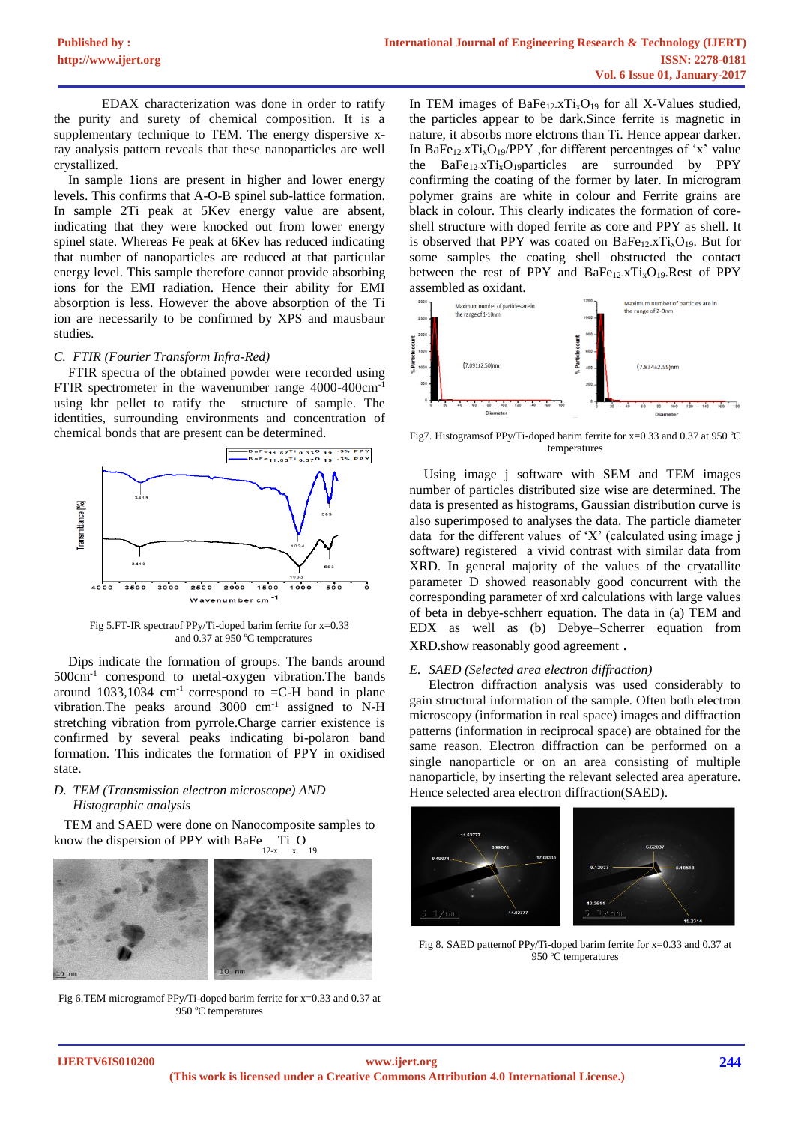EDAX characterization was done in order to ratify the purity and surety of chemical composition. It is a supplementary technique to TEM. The energy dispersive xray analysis pattern reveals that these nanoparticles are well crystallized.

In sample 1ions are present in higher and lower energy levels. This confirms that A-O-B spinel sub-lattice formation. In sample 2Ti peak at 5Kev energy value are absent, indicating that they were knocked out from lower energy spinel state. Whereas Fe peak at 6Kev has reduced indicating that number of nanoparticles are reduced at that particular energy level. This sample therefore cannot provide absorbing ions for the EMI radiation. Hence their ability for EMI absorption is less. However the above absorption of the Ti ion are necessarily to be confirmed by XPS and mausbaur studies.

## *C. FTIR (Fourier Transform Infra-Red)*

FTIR spectra of the obtained powder were recorded using FTIR spectrometer in the wavenumber range 4000-400cm-1 using kbr pellet to ratify the structure of sample. The identities, surrounding environments and concentration of chemical bonds that are present can be determined.



Fig 5.FT-IR spectraof PPy/Ti-doped barim ferrite for x=0.33 and  $0.37$  at 950 °C temperatures

Dips indicate the formation of groups. The bands around 500cm-1 correspond to metal-oxygen vibration.The bands around 1033,1034  $cm^{-1}$  correspond to  $=$ C-H band in plane vibration. The peaks around  $3000 \text{ cm}^{-1}$  assigned to N-H stretching vibration from pyrrole.Charge carrier existence is confirmed by several peaks indicating bi-polaron band formation. This indicates the formation of PPY in oxidised state.

## *D. TEM (Transmission electron microscope) AND Histographic analysis*

TEM and SAED were done on Nanocomposite samples to know the dispersion of PPY with BaFe  $12-x$ Ti O 19



Fig 6.TEM microgramof PPy/Ti-doped barim ferrite for x=0.33 and 0.37 at 950 °C temperatures

In TEM images of  $BaFe_{12} \cdot XT_{1x}O_{19}$  for all X-Values studied, the particles appear to be dark.Since ferrite is magnetic in nature, it absorbs more elctrons than Ti. Hence appear darker. In BaFe<sub>12-</sub>xTi<sub>x</sub>O<sub>19</sub>/PPY , for different percentages of 'x' value the BaFe12-xTixO19particles are surrounded by PPY confirming the coating of the former by later. In microgram polymer grains are white in colour and Ferrite grains are black in colour. This clearly indicates the formation of coreshell structure with doped ferrite as core and PPY as shell. It is observed that PPY was coated on  $BaFe_{12} \times Ti<sub>x</sub>O_{19}$ . But for some samples the coating shell obstructed the contact between the rest of PPY and BaFe<sub>12-XTix</sub>O<sub>19</sub>.Rest of PPY assembled as oxidant.



Fig7. Histogramsof PPy/Ti-doped barim ferrite for x=0.33 and 0.37 at 950  $^{\circ}$ C temperatures

Using image j software with SEM and TEM images number of particles distributed size wise are determined. The data is presented as histograms, Gaussian distribution curve is also superimposed to analyses the data. The particle diameter data for the different values of 'X' (calculated using image j software) registered a vivid contrast with similar data from XRD. In general majority of the values of the cryatallite parameter D showed reasonably good concurrent with the corresponding parameter of xrd calculations with large values of beta in debye-schherr equation. The data in (a) TEM and EDX as well as (b) Debye–Scherrer equation from XRD.show reasonably good agreement .

#### *E. SAED (Selected area electron diffraction)*

Electron diffraction analysis was used considerably to gain structural information of the sample. Often both electron microscopy (information in real space) images and diffraction patterns (information in reciprocal space) are obtained for the same reason. Electron diffraction can be performed on a single nanoparticle or on an area consisting of multiple nanoparticle, by inserting the relevant selected area aperature. Hence selected area electron diffraction(SAED).



Fig 8. SAED patternof PPy/Ti-doped barim ferrite for x=0.33 and 0.37 at 950 °C temperatures